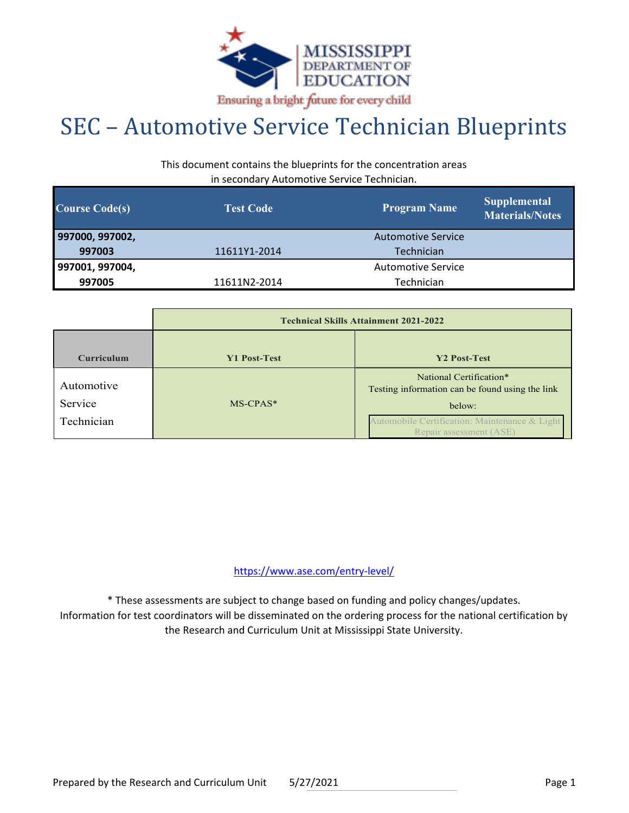

## SEC – Automotive Service Technician Blueprints

This document contains the blueprints for the concentration areas in secondary Automotive Service Technician.

| <b>Course Code(s)</b> | <b>Test Code</b> | <b>Program Name</b>       | <b>Supplemental</b><br><b>Materials/Notes</b> |
|-----------------------|------------------|---------------------------|-----------------------------------------------|
| 997000, 997002,       |                  | <b>Automotive Service</b> |                                               |
| 997003                | 11611Y1-2014     | Technician                |                                               |
| 997001, 997004,       |                  | <b>Automotive Service</b> |                                               |
| 997005                | 11611N2-2014     | Technician                |                                               |

|                   | <b>Technical Skills Attainment 2021-2022</b> |                                                                            |  |  |  |
|-------------------|----------------------------------------------|----------------------------------------------------------------------------|--|--|--|
| <b>Curriculum</b> | <b>Y1 Post-Test</b>                          | Y2 Post-Test                                                               |  |  |  |
| Automotive        |                                              | National Certification*<br>Testing information can be found using the link |  |  |  |
| Service           | $MS-CPAS*$                                   | below:                                                                     |  |  |  |
| Technician        |                                              | Automobile Certification: Maintenance & Light<br>Repair assessment (ASE)   |  |  |  |

https://www.ase.com/entry-level/

\* These assessments are subject to change based on funding and policy changes/updates. Information for test coordinators will be disseminated on the ordering process for the national certification by the Research and Curriculum Unit at Mississippi State University.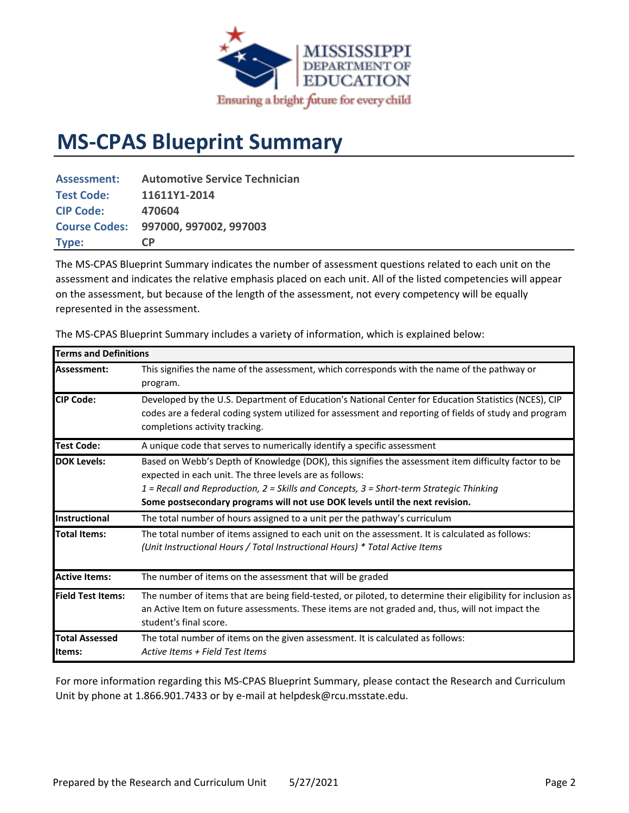

## **MS-CPAS Blueprint Summary**

| <b>Assessment:</b> | <b>Automotive Service Technician</b> |
|--------------------|--------------------------------------|
| <b>Test Code:</b>  | 11611Y1-2014                         |
| <b>CIP Code:</b>   | 470604                               |
|                    | Course Codes: 997000, 997002, 997003 |
| Type:              | C <sub>P</sub>                       |

The MS-CPAS Blueprint Summary indicates the number of assessment questions related to each unit on the assessment and indicates the relative emphasis placed on each unit. All of the listed competencies will appear on the assessment, but because of the length of the assessment, not every competency will be equally represented in the assessment.

| <b>Terms and Definitions</b>    |                                                                                                                                                                                                                                                                                                                                            |
|---------------------------------|--------------------------------------------------------------------------------------------------------------------------------------------------------------------------------------------------------------------------------------------------------------------------------------------------------------------------------------------|
| Assessment:                     | This signifies the name of the assessment, which corresponds with the name of the pathway or<br>program.                                                                                                                                                                                                                                   |
| <b>CIP Code:</b>                | Developed by the U.S. Department of Education's National Center for Education Statistics (NCES), CIP<br>codes are a federal coding system utilized for assessment and reporting of fields of study and program<br>completions activity tracking.                                                                                           |
| <b>Test Code:</b>               | A unique code that serves to numerically identify a specific assessment                                                                                                                                                                                                                                                                    |
| <b>DOK Levels:</b>              | Based on Webb's Depth of Knowledge (DOK), this signifies the assessment item difficulty factor to be<br>expected in each unit. The three levels are as follows:<br>1 = Recall and Reproduction, 2 = Skills and Concepts, 3 = Short-term Strategic Thinking<br>Some postsecondary programs will not use DOK levels until the next revision. |
| Instructional                   | The total number of hours assigned to a unit per the pathway's curriculum                                                                                                                                                                                                                                                                  |
| <b>Total Items:</b>             | The total number of items assigned to each unit on the assessment. It is calculated as follows:<br>(Unit Instructional Hours / Total Instructional Hours) * Total Active Items                                                                                                                                                             |
| <b>Active Items:</b>            | The number of items on the assessment that will be graded                                                                                                                                                                                                                                                                                  |
| <b>Field Test Items:</b>        | The number of items that are being field-tested, or piloted, to determine their eligibility for inclusion as<br>an Active Item on future assessments. These items are not graded and, thus, will not impact the<br>student's final score.                                                                                                  |
| <b>Total Assessed</b><br>Items: | The total number of items on the given assessment. It is calculated as follows:<br>Active Items + Field Test Items                                                                                                                                                                                                                         |

The MS-CPAS Blueprint Summary includes a variety of information, which is explained below:

For more information regarding this MS-CPAS Blueprint Summary, please contact the Research and Curriculum Unit by phone at 1.866.901.7433 or by e-mail at helpdesk@rcu.msstate.edu.